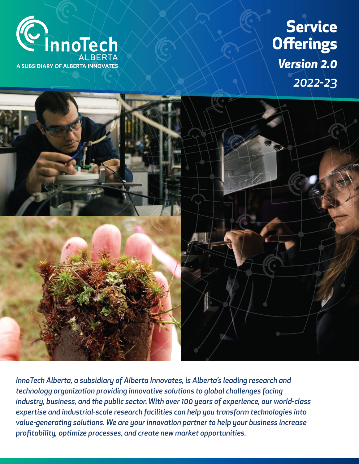**Service Offerings** *Version 2.0 2022-23*





*InnoTech Alberta, a subsidiary of Alberta Innovates, is Alberta's leading research and technology organization providing innovative solutions to global challenges facing industry, business, and the public sector. With over 100 years of experience, our world-class expertise and industrial-scale research facilities can help you transform technologies into value-generating solutions. We are your innovation partner to help your business increase profitability, optimize processes, and create new market opportunities.*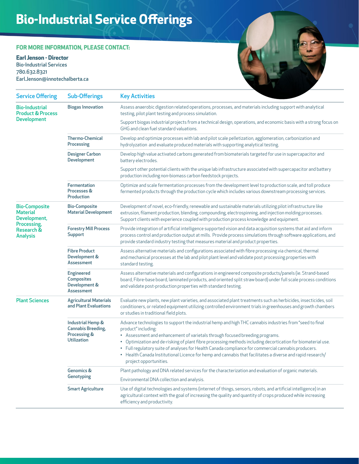# **Bio-Industrial Service Offerings**

#### **FOR MORE INFORMATION, PLEASE CONTACT:**

**Earl Jenson - Director** Bio-Industrial Services 780.632.8321

Earl.Jenson@innotechalberta.ca



| <b>Service Offering</b>                                                                                 | <b>Sub-Offerings</b>                                                                 | <b>Key Activities</b>                                                                                                                                                                                                                                                                                                                                                                                                                                                                                                                                                          |
|---------------------------------------------------------------------------------------------------------|--------------------------------------------------------------------------------------|--------------------------------------------------------------------------------------------------------------------------------------------------------------------------------------------------------------------------------------------------------------------------------------------------------------------------------------------------------------------------------------------------------------------------------------------------------------------------------------------------------------------------------------------------------------------------------|
| <b>Bio-Industrial</b><br><b>Product &amp; Process</b><br><b>Development</b>                             | <b>Biogas Innovation</b>                                                             | Assess anaerobic digestion related operations, processes, and materials including support with analytical<br>testing, pilot plant testing and process simulation.                                                                                                                                                                                                                                                                                                                                                                                                              |
|                                                                                                         |                                                                                      | Support biogas industrial projects from a technical design, operations, and economic basis with a strong focus on<br>GHG and clean fuel standard valuations.                                                                                                                                                                                                                                                                                                                                                                                                                   |
|                                                                                                         | <b>Thermo-Chemical</b><br>Processing                                                 | Develop and optimize processes with lab and pilot scale pelletization, agglomeration, carbonization and<br>hydrolyzation and evaluate produced materials with supporting analytical testing.                                                                                                                                                                                                                                                                                                                                                                                   |
|                                                                                                         | <b>Designer Carbon</b><br>Development                                                | Develop high value activated carbons generated from biomaterials targeted for use in supercapacitor and<br>battery electrodes.                                                                                                                                                                                                                                                                                                                                                                                                                                                 |
|                                                                                                         |                                                                                      | Support other potential clients with the unique lab infrastructure associated with supercapacitor and battery<br>production including non-biomass carbon feedstock projects.                                                                                                                                                                                                                                                                                                                                                                                                   |
|                                                                                                         | Fermentation<br>Processes &<br>Production                                            | Optimize and scale fermentation processes from the development level to production scale, and toll produce<br>fermented products through the production cycle which includes various downstream processing services.                                                                                                                                                                                                                                                                                                                                                           |
| <b>Bio-Composite</b><br><b>Material</b><br>Development,<br>Processing,<br>Research &<br><b>Analysis</b> | <b>Bio-Composite</b><br><b>Material Development</b>                                  | Development of novel, eco-friendly, renewable and sustainable materials utilizing pilot infrastructure like<br>extrusion, filament production, blending, compounding, electrospinning, and injection molding processes.<br>Support clients with experience coupled with production process knowledge and equipment.                                                                                                                                                                                                                                                            |
|                                                                                                         | <b>Forestry Mill Process</b><br><b>Support</b>                                       | Provide integration of artificial intelligence supported vision and data acquisition systems that aid and inform<br>process control and production output at mills. Provide process simulations through software applications, and<br>provide standard industry testing that measures material and product properties.                                                                                                                                                                                                                                                         |
|                                                                                                         | <b>Fibre Product</b><br>Development &<br>Assessment                                  | Assess alternative materials and configurations associated with fibre processing via chemical, thermal<br>and mechanical processes at the lab and pilot plant level and validate post processing properties with<br>standard testing.                                                                                                                                                                                                                                                                                                                                          |
|                                                                                                         | <b>Engineered</b><br>Composites<br>Development &<br>Assessment                       | Assess alternative materials and configurations in engineered composite products/panels (ie. Strand-based<br>board, Fibre-base board, laminated products, and oriented split straw board) under full scale process conditions<br>and validate post-production properties with standard testing.                                                                                                                                                                                                                                                                                |
| <b>Plant Sciences</b>                                                                                   | <b>Agricultural Materials</b><br>and Plant Evaluations                               | Evaluate new plants, new plant varieties, and associated plant treatments such as herbicides, insecticides, soil<br>conditioners, or related equipment utilizing controlled environment trials in greenhouses and growth chambers<br>or studies in traditional field plots.                                                                                                                                                                                                                                                                                                    |
|                                                                                                         | Industrial Hemp &<br><b>Cannabis Breeding,</b><br>Processing &<br><b>Utilization</b> | Advance technologies to support the industrial hemp and high THC cannabis industries from "seed to final<br>product" including:<br>• Assessment and enhancement of varietals through focused breeding programs.<br>• Optimization and de-risking of plant fibre processing methods including decortication for biomaterial use.<br>• Full regulatory suite of analyses for Health Canada compliance for commercial cannabis producers.<br>• Health Canada Institutional Licence for hemp and cannabis that facilitates a diverse and rapid research/<br>project opportunities. |
|                                                                                                         | <b>Genomics &amp;</b><br>Genotyping                                                  | Plant pathology and DNA related services for the characterization and evaluation of organic materials.                                                                                                                                                                                                                                                                                                                                                                                                                                                                         |
|                                                                                                         |                                                                                      | Environmental DNA collection and analysis.                                                                                                                                                                                                                                                                                                                                                                                                                                                                                                                                     |
|                                                                                                         | <b>Smart Agriculture</b>                                                             | Use of digital technologies and systems (internet of things, sensors, robots, and artificial intelligence) in an<br>agricultural context with the goal of increasing the quality and quantity of crops produced while increasing<br>efficiency and productivity.                                                                                                                                                                                                                                                                                                               |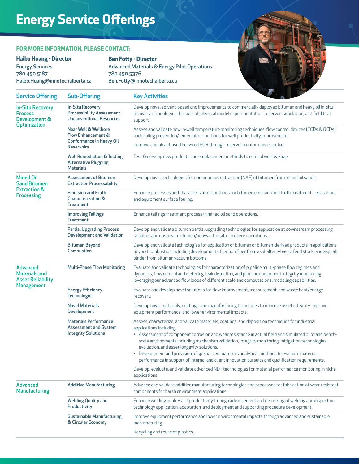## **Energy Service Offerings**

#### **FOR MORE INFORMATION, PLEASE CONTACT:**

**Haibo Huang - Director** Energy Services 780.450.5187 Haibo.Huang@innotechalberta.ca

#### **Ben Fotty - Director**

Advanced Materials & Energy Pilot Operations 780.450.5376 Ben.Fotty@innotechalberta.ca

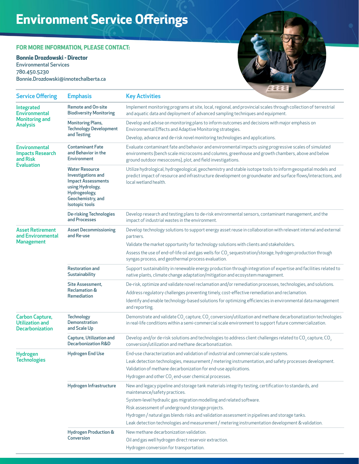## **Environment Service Offerings**

#### **FOR MORE INFORMATION, PLEASE CONTACT:**

#### **Bonnie Drozdowski - Director**

Environmental Services 780.450.5230 Bonnie.Drozdowski@innotechalberta.ca



| <b>Service Offering</b>                                                          | <b>Emphasis</b>                                                                                                                                             | <b>Key Activities</b>                                                                                                                                                                                                                                                     |                                                                                                                        |  |
|----------------------------------------------------------------------------------|-------------------------------------------------------------------------------------------------------------------------------------------------------------|---------------------------------------------------------------------------------------------------------------------------------------------------------------------------------------------------------------------------------------------------------------------------|------------------------------------------------------------------------------------------------------------------------|--|
| Integrated<br><b>Environmental</b><br><b>Monitoring and</b><br><b>Analysis</b>   | <b>Remote and On-site</b><br><b>Biodiversity Monitoring</b>                                                                                                 | Implement monitoring programs at site, local, regional, and provincial scales through collection of terrestrial<br>and aquatic data and deployment of advanced sampling techniques and equipment.                                                                         |                                                                                                                        |  |
|                                                                                  | <b>Monitoring Plans,</b><br><b>Technology Development</b><br>and Testing                                                                                    | Develop and advise on monitoring plans to inform outcomes and decisions with major emphasis on<br>Environmental Effects and Adaptive Monitoring strategies.                                                                                                               |                                                                                                                        |  |
|                                                                                  |                                                                                                                                                             | Develop, advance and de-risk novel monitoring technologies and applications.                                                                                                                                                                                              |                                                                                                                        |  |
| <b>Environmental</b><br><b>Impacts Research</b><br>and Risk<br><b>Evaluation</b> | <b>Contaminant Fate</b><br>and Behavior in the<br><b>Environment</b>                                                                                        | Evaluate contaminant fate and behavior and environmental impacts using progressive scales of simulated<br>environments (bench scale microcosms and columns, greenhouse and growth chambers, above and below<br>ground outdoor mesocosms), plot, and field investigations. |                                                                                                                        |  |
|                                                                                  | <b>Water Resource</b><br>Investigations and<br><b>Impact Assessments</b><br>using Hydrology,<br>Hydrogeology,<br>Geochemistry, and<br><b>Isotopic tools</b> | Utilize hydrological, hydrogeological, geochemistry and stable isotope tools to inform geospatial models and<br>predict impact of resource and infrastructure development on groundwater and surface flows/interactions, and<br>local wetland health.                     |                                                                                                                        |  |
|                                                                                  | <b>De-risking Technologies</b><br>and Processes                                                                                                             | Develop research and testing plans to de-risk environmental sensors, contaminant management, and the<br>impact of industrial wastes in the environment.                                                                                                                   |                                                                                                                        |  |
| <b>Asset Retirement</b><br>and Environmental                                     | <b>Asset Decommissioning</b><br>and Re-use                                                                                                                  | partners.                                                                                                                                                                                                                                                                 | Develop technology solutions to support energy asset reuse in collaboration with relevant internal and external        |  |
| <b>Management</b>                                                                |                                                                                                                                                             | Validate the market opportunity for technology solutions with clients and stakeholders.                                                                                                                                                                                   |                                                                                                                        |  |
|                                                                                  |                                                                                                                                                             | syngas process, and geothermal process evaluation.                                                                                                                                                                                                                        | Assess the use of end-of-life oil and gas wells for CO <sub>2</sub> sequestration/storage, hydrogen production through |  |
|                                                                                  | <b>Restoration and</b><br>Sustainability                                                                                                                    | native plants, climate change adaptation/mitigation and ecosystem management.                                                                                                                                                                                             | Support sustainability in renewable energy production through integration of expertise and facilities related to       |  |
|                                                                                  | Site Assessment,<br><b>Reclamation &amp;</b><br>Remediation                                                                                                 |                                                                                                                                                                                                                                                                           | De-risk, optimize and validate novel reclamation and/or remediation processes, technologies, and solutions.            |  |
|                                                                                  |                                                                                                                                                             | Address regulatory challenges preventing timely, cost-effective remediation and reclamation.                                                                                                                                                                              |                                                                                                                        |  |
|                                                                                  |                                                                                                                                                             | and reporting.                                                                                                                                                                                                                                                            | Identify and enable technology-based solutions for optimizing efficiencies in environmental data management            |  |
| <b>Carbon Capture,</b><br><b>Utilization and</b><br><b>Decarbonization</b>       | <b>Technology</b><br><b>Demonstration</b><br>and Scale Up                                                                                                   | Demonstrate and validate CO <sub>2</sub> capture, CO <sub>2</sub> conversion/utilization and methane decarbonatization technologies<br>in real-life conditions within a semi-commercial scale environment to support future commercialization.                            |                                                                                                                        |  |
|                                                                                  | Capture, Utilization and<br><b>Decarbonization R&amp;D</b>                                                                                                  | Develop and/or de-risk solutions and technologies to address client challenges related to CO <sub>2</sub> capture, CO <sub>2</sub><br>conversion/utilization and methane decarbonatization.                                                                               |                                                                                                                        |  |
| Hydrogen<br><b>Technologies</b>                                                  | <b>Hydrogen End Use</b>                                                                                                                                     | End-use characterization and validation of industrial and commercial scale systems.                                                                                                                                                                                       |                                                                                                                        |  |
|                                                                                  |                                                                                                                                                             |                                                                                                                                                                                                                                                                           | Leak detection technologies, measurement / metering instrumentation, and safety processes development.                 |  |
|                                                                                  |                                                                                                                                                             | Validation of methane decarbonization for end-use applications.                                                                                                                                                                                                           |                                                                                                                        |  |
|                                                                                  |                                                                                                                                                             | Hydrogen and other $CO2$ end-user chemical processes.                                                                                                                                                                                                                     |                                                                                                                        |  |
|                                                                                  | Hydrogen Infrastructure                                                                                                                                     | New and legacy pipeline and storage tank materials integrity testing, certification to standards, and<br>maintenance/safety practices.                                                                                                                                    |                                                                                                                        |  |
|                                                                                  |                                                                                                                                                             | System-level hydraulic gas migration modelling and related software.                                                                                                                                                                                                      |                                                                                                                        |  |
|                                                                                  |                                                                                                                                                             | Risk assessment of underground storage projects.                                                                                                                                                                                                                          |                                                                                                                        |  |
|                                                                                  |                                                                                                                                                             | Hydrogen / natural gas blends risks and validation assessment in pipelines and storage tanks.                                                                                                                                                                             |                                                                                                                        |  |
|                                                                                  |                                                                                                                                                             |                                                                                                                                                                                                                                                                           | Leak detection technologies and measurement / metering instrumentation development & validation.                       |  |
|                                                                                  | <b>Hydrogen Production &amp;</b><br>Conversion                                                                                                              | New methane decarbonization validation.                                                                                                                                                                                                                                   |                                                                                                                        |  |
|                                                                                  |                                                                                                                                                             | Oil and gas well hydrogen direct reservoir extraction.                                                                                                                                                                                                                    |                                                                                                                        |  |
|                                                                                  |                                                                                                                                                             | Hydrogen conversion for transportation.                                                                                                                                                                                                                                   |                                                                                                                        |  |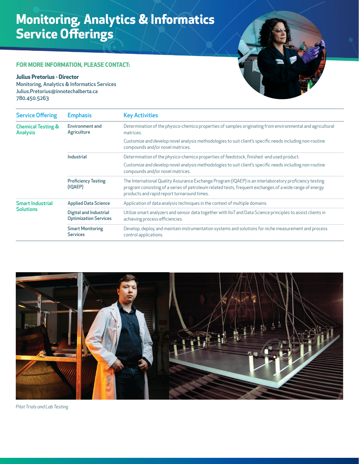## **Monitoring, Analytics & Informatics Service Offerings**

#### **FOR MORE INFORMATION, PLEASE CONTACT:**

#### **Julius Pretorius - Director**

Monitoring, Analytics & Informatics Services Julius.Pretorius@innotechalberta.ca 780.450.5263



| <b>Service Offering</b>                          | <b>Emphasis</b>                                        | <b>Key Activities</b>                                                                                                                                                                                                                                            |
|--------------------------------------------------|--------------------------------------------------------|------------------------------------------------------------------------------------------------------------------------------------------------------------------------------------------------------------------------------------------------------------------|
| <b>Chemical Testing &amp;</b><br><b>Analysis</b> | <b>Environment and</b><br>Agriculture                  | Determination of the physico-chemico properties of samples originating from environmental and agricultural<br>matrices.                                                                                                                                          |
|                                                  |                                                        | Customize and develop novel analysis methodologies to suit client's specific needs including non-routine<br>compounds and/or novel matrices.                                                                                                                     |
|                                                  | Industrial                                             | Determination of the physico-chemico properties of feedstock, finished-and used product.                                                                                                                                                                         |
|                                                  |                                                        | Customize and develop novel analysis methodologies to suit client's specific needs including non-routine<br>compounds and/or novel matrices.                                                                                                                     |
|                                                  | <b>Proficiency Testing</b><br>(IQAEP)                  | The International Quality Assurance Exchange Program (IQAEP) is an interlaboratory proficiency testing<br>program consisting of a series of petroleum related tests, frequent exchanges of a wide range of energy<br>products and rapid report turnaround times. |
| <b>Smart Industrial</b><br><b>Solutions</b>      | <b>Applied Data Science</b>                            | Application of data analysis techniques in the context of multiple domains.                                                                                                                                                                                      |
|                                                  | Digital and Industrial<br><b>Optimization Services</b> | Utilize smart analyzers and sensor data together with IIoT and Data Science principles to assist clients in<br>achieving process efficiencies.                                                                                                                   |
|                                                  | <b>Smart Monitoring</b><br><b>Services</b>             | Develop, deploy, and maintain instrumentation systems and solutions for niche measurement and process<br>control applications.                                                                                                                                   |



*Pilot Trials and Lab Testing*